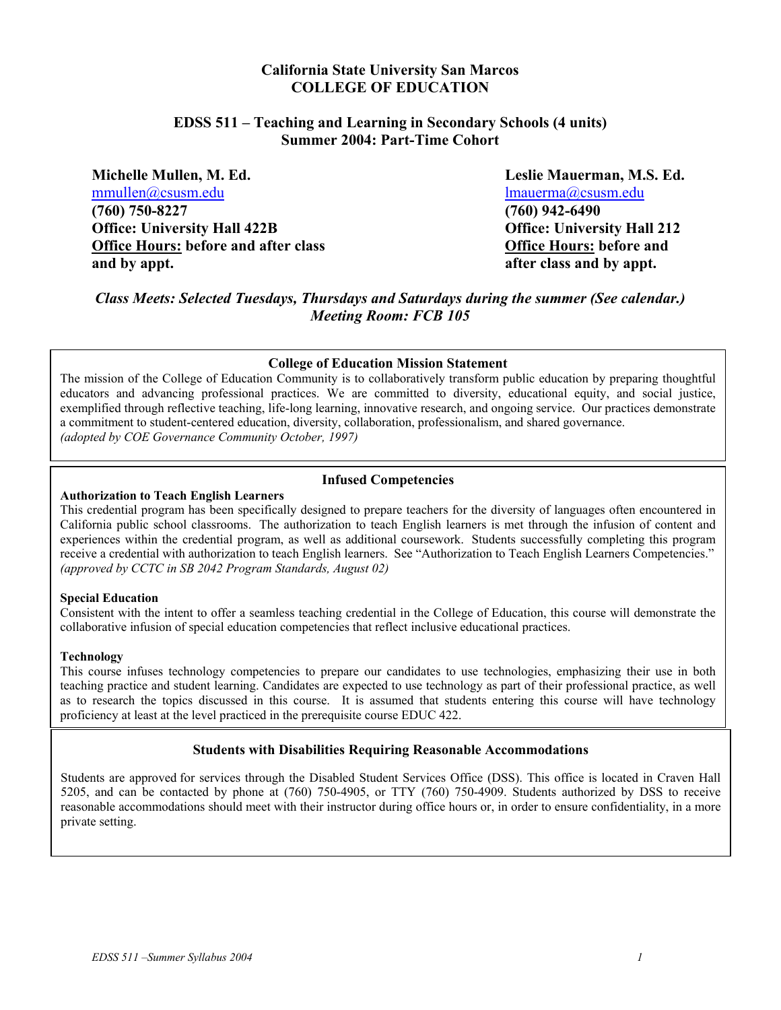## **California State University San Marcos COLLEGE OF EDUCATION**

## **EDSS 511 – Teaching and Learning in Secondary Schools (4 units) Summer 2004: Part-Time Cohort**

**Michelle Mullen, M. Ed. Leslie Mauerman, M.S. Ed.**  mmullen@csusm.edu lmauerma@csusm.edu **(760) 750-8227 (760) 942-6490 Office: University Hall 422B Office: University Hall 212 Office Hours: before and after class Office Hours: before and and by appt. after class and by appt.** 

*Class Meets: Selected Tuesdays, Thursdays and Saturdays during the summer (See calendar.) Meeting Room: FCB 105*

#### **College of Education Mission Statement**

The mission of the College of Education Community is to collaboratively transform public education by preparing thoughtful educators and advancing professional practices. We are committed to diversity, educational equity, and social justice, exemplified through reflective teaching, life-long learning, innovative research, and ongoing service. Our practices demonstrate a commitment to student-centered education, diversity, collaboration, professionalism, and shared governance. *(adopted by COE Governance Community October, 1997)*

#### **Infused Competencies**

#### **Authorization to Teach English Learners**

This credential program has been specifically designed to prepare teachers for the diversity of languages often encountered in California public school classrooms. The authorization to teach English learners is met through the infusion of content and experiences within the credential program, as well as additional coursework. Students successfully completing this program receive a credential with authorization to teach English learners. See "Authorization to Teach English Learners Competencies." *(approved by CCTC in SB 2042 Program Standards, August 02)* 

#### **Special Education**

Consistent with the intent to offer a seamless teaching credential in the College of Education, this course will demonstrate the collaborative infusion of special education competencies that reflect inclusive educational practices.

#### **Technology**

This course infuses technology competencies to prepare our candidates to use technologies, emphasizing their use in both teaching practice and student learning. Candidates are expected to use technology as part of their professional practice, as well as to research the topics discussed in this course. It is assumed that students entering this course will have technology proficiency at least at the level practiced in the prerequisite course EDUC 422.

#### **Students with Disabilities Requiring Reasonable Accommodations**

Students are approved for services through the Disabled Student Services Office (DSS). This office is located in Craven Hall 5205, and can be contacted by phone at (760) 750-4905, or TTY (760) 750-4909. Students authorized by DSS to receive reasonable accommodations should meet with their instructor during office hours or, in order to ensure confidentiality, in a more private setting.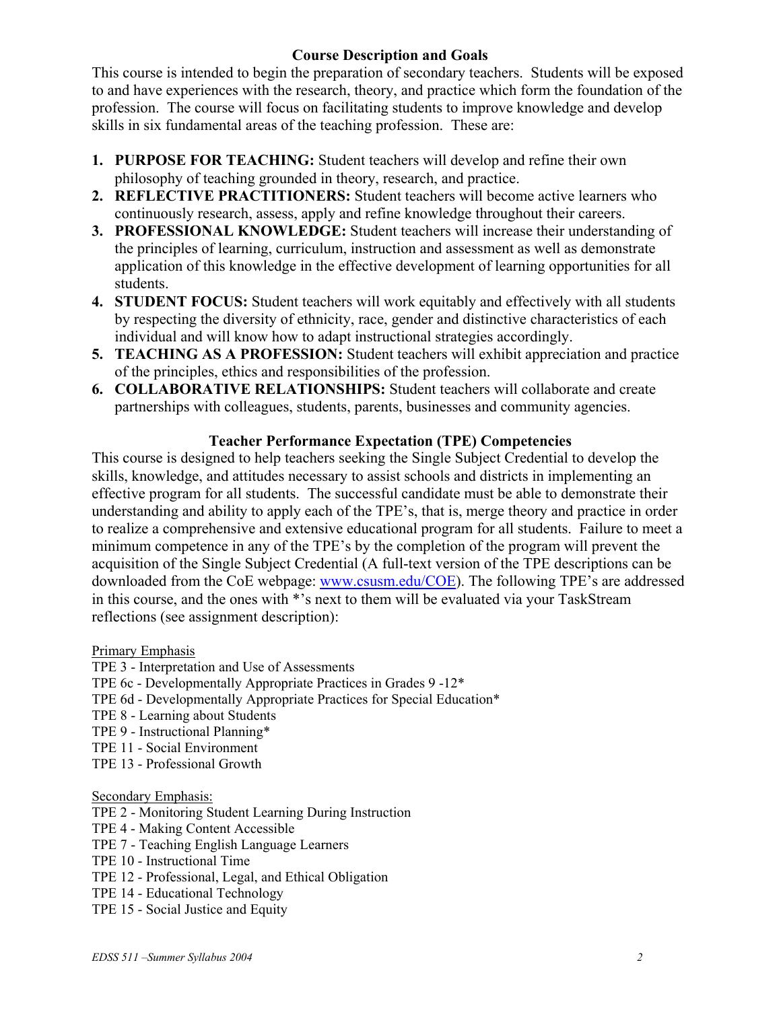# **Course Description and Goals**

This course is intended to begin the preparation of secondary teachers. Students will be exposed to and have experiences with the research, theory, and practice which form the foundation of the profession. The course will focus on facilitating students to improve knowledge and develop skills in six fundamental areas of the teaching profession. These are:

- **1. PURPOSE FOR TEACHING:** Student teachers will develop and refine their own philosophy of teaching grounded in theory, research, and practice.
- **2. REFLECTIVE PRACTITIONERS:** Student teachers will become active learners who continuously research, assess, apply and refine knowledge throughout their careers.
- **3. PROFESSIONAL KNOWLEDGE:** Student teachers will increase their understanding of the principles of learning, curriculum, instruction and assessment as well as demonstrate application of this knowledge in the effective development of learning opportunities for all students.
- **4. STUDENT FOCUS:** Student teachers will work equitably and effectively with all students by respecting the diversity of ethnicity, race, gender and distinctive characteristics of each individual and will know how to adapt instructional strategies accordingly.
- **5. TEACHING AS A PROFESSION:** Student teachers will exhibit appreciation and practice of the principles, ethics and responsibilities of the profession.
- **6. COLLABORATIVE RELATIONSHIPS:** Student teachers will collaborate and create partnerships with colleagues, students, parents, businesses and community agencies.

# **Teacher Performance Expectation (TPE) Competencies**

This course is designed to help teachers seeking the Single Subject Credential to develop the skills, knowledge, and attitudes necessary to assist schools and districts in implementing an effective program for all students. The successful candidate must be able to demonstrate their understanding and ability to apply each of the TPE's, that is, merge theory and practice in order to realize a comprehensive and extensive educational program for all students. Failure to meet a minimum competence in any of the TPE's by the completion of the program will prevent the acquisition of the Single Subject Credential (A full-text version of the TPE descriptions can be downloaded from the CoE webpage: www.csusm.edu/COE). The following TPE's are addressed in this course, and the ones with \*'s next to them will be evaluated via your TaskStream reflections (see assignment description):

Primary Emphasis

- TPE 3 Interpretation and Use of Assessments
- TPE 6c Developmentally Appropriate Practices in Grades 9 -12\*
- TPE 6d Developmentally Appropriate Practices for Special Education\*
- TPE 8 Learning about Students
- TPE 9 Instructional Planning\*
- TPE 11 Social Environment
- TPE 13 Professional Growth

## Secondary Emphasis:

- TPE 2 Monitoring Student Learning During Instruction
- TPE 4 Making Content Accessible
- TPE 7 Teaching English Language Learners
- TPE 10 Instructional Time
- TPE 12 Professional, Legal, and Ethical Obligation
- TPE 14 Educational Technology
- TPE 15 Social Justice and Equity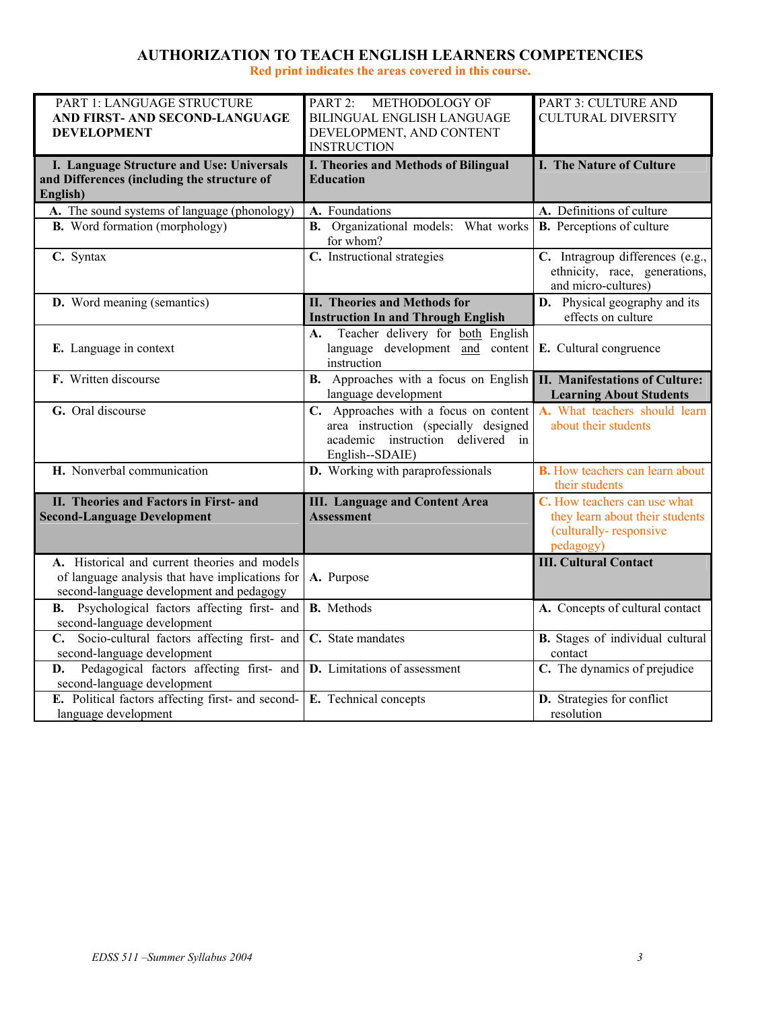# **AUTHORIZATION TO TEACH ENGLISH LEARNERS COMPETENCIES**

**Red print indicates the areas covered in this course.** 

| PART 1: LANGUAGE STRUCTURE                                                             | PART 2: METHODOLOGY OF                                   | PART 3: CULTURE AND                    |
|----------------------------------------------------------------------------------------|----------------------------------------------------------|----------------------------------------|
| AND FIRST- AND SECOND-LANGUAGE<br><b>DEVELOPMENT</b>                                   | BILINGUAL ENGLISH LANGUAGE<br>DEVELOPMENT, AND CONTENT   | <b>CULTURAL DIVERSITY</b>              |
|                                                                                        | <b>INSTRUCTION</b>                                       |                                        |
| I. Language Structure and Use: Universals                                              | I. Theories and Methods of Bilingual                     | I. The Nature of Culture               |
| and Differences (including the structure of                                            | <b>Education</b>                                         |                                        |
| English)                                                                               |                                                          |                                        |
| A. The sound systems of language (phonology)                                           | A. Foundations                                           | A. Definitions of culture              |
| <b>B.</b> Word formation (morphology)                                                  | <b>B.</b> Organizational models: What works<br>for whom? | <b>B.</b> Perceptions of culture       |
| C. Syntax                                                                              | C. Instructional strategies                              | C. Intragroup differences (e.g.,       |
|                                                                                        |                                                          | ethnicity, race, generations,          |
|                                                                                        |                                                          | and micro-cultures)                    |
| <b>D.</b> Word meaning (semantics)                                                     | <b>II. Theories and Methods for</b>                      | <b>D.</b> Physical geography and its   |
|                                                                                        | <b>Instruction In and Through English</b>                | effects on culture                     |
|                                                                                        | Teacher delivery for both English<br>А.                  |                                        |
| E. Language in context                                                                 | language development and content                         | E. Cultural congruence                 |
|                                                                                        | instruction                                              |                                        |
| F. Written discourse                                                                   | <b>B.</b> Approaches with a focus on English             | <b>II. Manifestations of Culture:</b>  |
|                                                                                        | language development                                     | <b>Learning About Students</b>         |
| G. Oral discourse                                                                      | C. Approaches with a focus on content                    | A. What teachers should learn          |
|                                                                                        | area instruction (specially designed                     | about their students                   |
|                                                                                        | academic instruction delivered in                        |                                        |
| H. Nonverbal communication                                                             | English--SDAIE)<br>D. Working with paraprofessionals     | <b>B.</b> How teachers can learn about |
|                                                                                        |                                                          | their students                         |
| II. Theories and Factors in First- and                                                 | <b>III.</b> Language and Content Area                    | C. How teachers can use what           |
| <b>Second-Language Development</b>                                                     | <b>Assessment</b>                                        | they learn about their students        |
|                                                                                        |                                                          | (culturally-responsive                 |
|                                                                                        |                                                          | pedagogy)                              |
| A. Historical and current theories and models                                          |                                                          | <b>III. Cultural Contact</b>           |
| of language analysis that have implications for                                        | A. Purpose                                               |                                        |
| second-language development and pedagogy<br>Psychological factors affecting first- and | <b>B.</b> Methods                                        |                                        |
| В.                                                                                     |                                                          | A. Concepts of cultural contact        |
| second-language development<br>C. Socio-cultural factors affecting first- and          | C. State mandates                                        | B. Stages of individual cultural       |
| second-language development                                                            |                                                          | contact                                |
| Pedagogical factors affecting first- and <b>D</b> . Limitations of assessment<br>D.    |                                                          | C. The dynamics of prejudice           |
| second-language development                                                            |                                                          |                                        |
| E. Political factors affecting first- and second-                                      | E. Technical concepts                                    | D. Strategies for conflict             |
| language development                                                                   |                                                          | resolution                             |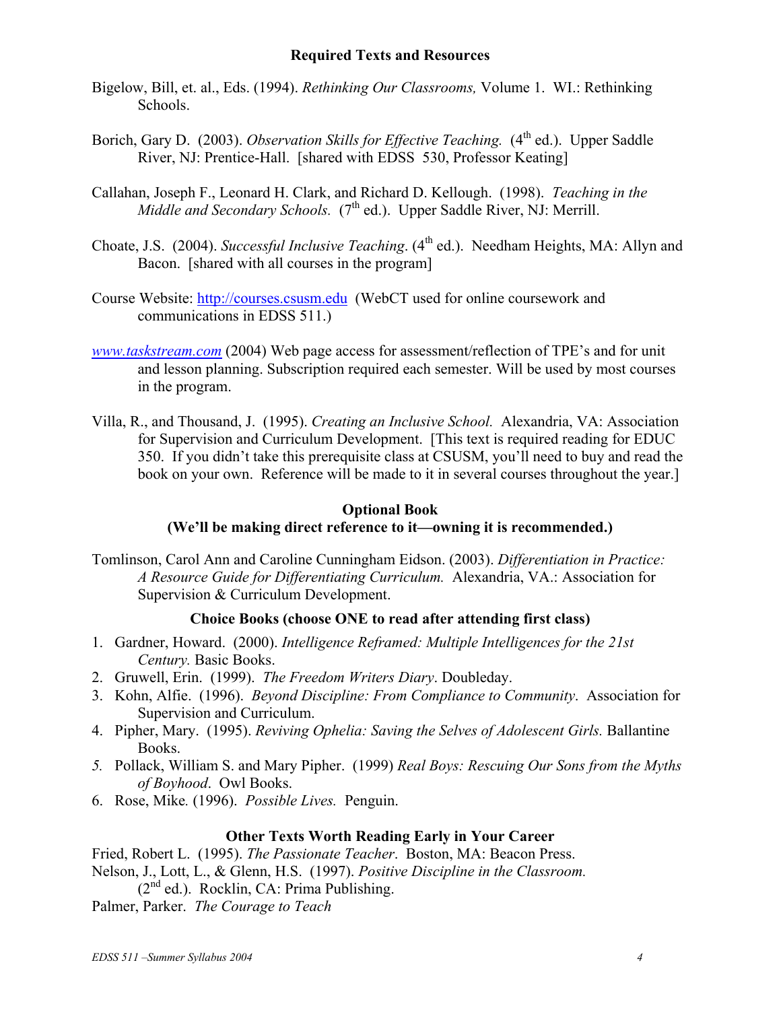## **Required Texts and Resources**

- Bigelow, Bill, et. al., Eds. (1994). *Rethinking Our Classrooms,* Volume 1. WI.: Rethinking Schools.
- Borich, Gary D. (2003). *Observation Skills for Effective Teaching.* (4<sup>th</sup> ed.). Upper Saddle River, NJ: Prentice-Hall. [shared with EDSS 530, Professor Keating]
- Callahan, Joseph F., Leonard H. Clark, and Richard D. Kellough. (1998). *Teaching in the Middle and Secondary Schools.* (7<sup>th</sup> ed.). Upper Saddle River, NJ: Merrill.
- Choate, J.S. (2004). *Successful Inclusive Teaching*. (4<sup>th</sup> ed.). Needham Heights, MA: Allyn and Bacon. [shared with all courses in the program]
- Course Website: http://courses.csusm.edu (WebCT used for online coursework and communications in EDSS 511.)
- *www.taskstream.com* (2004) Web page access for assessment/reflection of TPE's and for unit and lesson planning. Subscription required each semester. Will be used by most courses in the program.
- Villa, R., and Thousand, J. (1995). *Creating an Inclusive School.* Alexandria, VA: Association for Supervision and Curriculum Development. [This text is required reading for EDUC 350. If you didn't take this prerequisite class at CSUSM, you'll need to buy and read the book on your own. Reference will be made to it in several courses throughout the year.]

# **Optional Book**

# **(We'll be making direct reference to it—owning it is recommended.)**

Tomlinson, Carol Ann and Caroline Cunningham Eidson. (2003). *Differentiation in Practice: A Resource Guide for Differentiating Curriculum.* Alexandria, VA.: Association for Supervision & Curriculum Development.

# **Choice Books (choose ONE to read after attending first class)**

- 1. Gardner, Howard. (2000). *Intelligence Reframed: Multiple Intelligences for the 21st Century.* Basic Books.
- 2. Gruwell, Erin. (1999). *The Freedom Writers Diary*. Doubleday.
- 3. Kohn, Alfie. (1996). *Beyond Discipline: From Compliance to Community*. Association for Supervision and Curriculum.
- 4. Pipher, Mary. (1995). *Reviving Ophelia: Saving the Selves of Adolescent Girls.* Ballantine Books.
- *5.* Pollack, William S. and Mary Pipher. (1999) *Real Boys: Rescuing Our Sons from the Myths of Boyhood*. Owl Books.
- 6. Rose, Mike*.* (1996). *Possible Lives.* Penguin.

# **Other Texts Worth Reading Early in Your Career**

Fried, Robert L. (1995). *The Passionate Teacher*. Boston, MA: Beacon Press. Nelson, J., Lott, L., & Glenn, H.S. (1997). *Positive Discipline in the Classroom.*  $(2<sup>nd</sup> ed.)$ . Rocklin, CA: Prima Publishing.

Palmer, Parker. *The Courage to Teach*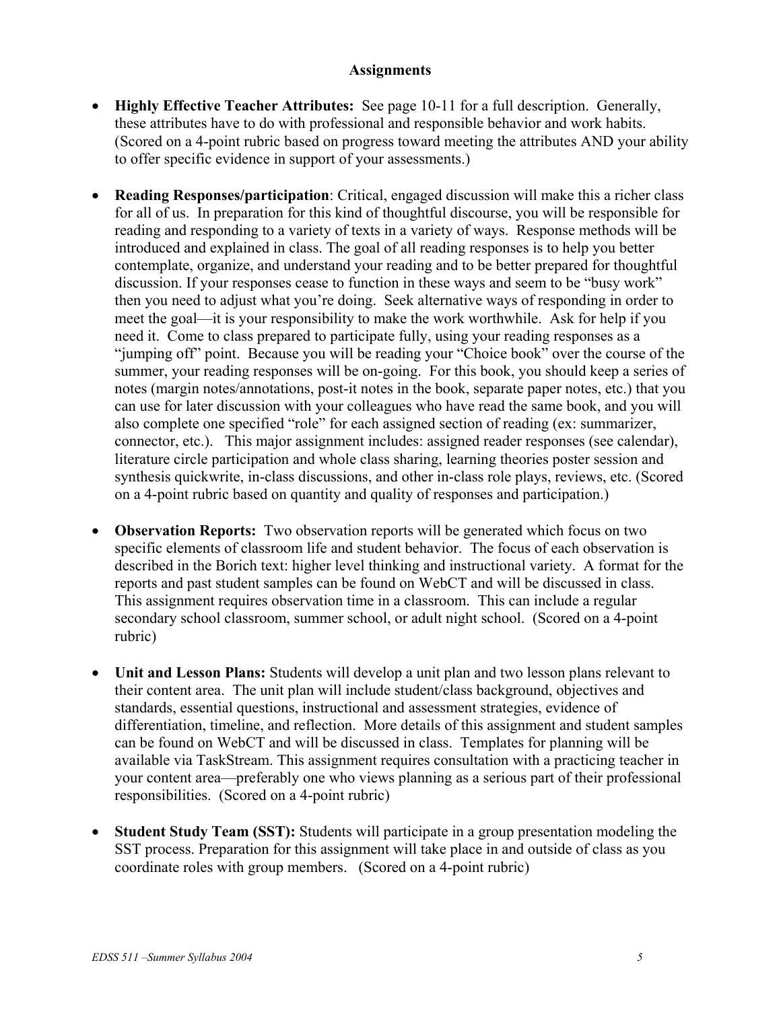## **Assignments**

- **Highly Effective Teacher Attributes:** See page 10-11 for a full description. Generally, these attributes have to do with professional and responsible behavior and work habits. (Scored on a 4-point rubric based on progress toward meeting the attributes AND your ability to offer specific evidence in support of your assessments.)
- **Reading Responses/participation**: Critical, engaged discussion will make this a richer class for all of us. In preparation for this kind of thoughtful discourse, you will be responsible for reading and responding to a variety of texts in a variety of ways. Response methods will be introduced and explained in class. The goal of all reading responses is to help you better contemplate, organize, and understand your reading and to be better prepared for thoughtful discussion. If your responses cease to function in these ways and seem to be "busy work" then you need to adjust what you're doing. Seek alternative ways of responding in order to meet the goal—it is your responsibility to make the work worthwhile. Ask for help if you need it. Come to class prepared to participate fully, using your reading responses as a "jumping off" point. Because you will be reading your "Choice book" over the course of the summer, your reading responses will be on-going. For this book, you should keep a series of notes (margin notes/annotations, post-it notes in the book, separate paper notes, etc.) that you can use for later discussion with your colleagues who have read the same book, and you will also complete one specified "role" for each assigned section of reading (ex: summarizer, connector, etc.). This major assignment includes: assigned reader responses (see calendar), literature circle participation and whole class sharing, learning theories poster session and synthesis quickwrite, in-class discussions, and other in-class role plays, reviews, etc. (Scored on a 4-point rubric based on quantity and quality of responses and participation.)
- **Observation Reports:** Two observation reports will be generated which focus on two specific elements of classroom life and student behavior. The focus of each observation is described in the Borich text: higher level thinking and instructional variety. A format for the reports and past student samples can be found on WebCT and will be discussed in class. This assignment requires observation time in a classroom. This can include a regular secondary school classroom, summer school, or adult night school.(Scored on a 4-point rubric)
- **Unit and Lesson Plans:** Students will develop a unit plan and two lesson plans relevant to their content area. The unit plan will include student/class background, objectives and standards, essential questions, instructional and assessment strategies, evidence of differentiation, timeline, and reflection. More details of this assignment and student samples can be found on WebCT and will be discussed in class. Templates for planning will be available via TaskStream. This assignment requires consultation with a practicing teacher in your content area—preferably one who views planning as a serious part of their professional responsibilities. (Scored on a 4-point rubric)
- **Student Study Team (SST):** Students will participate in a group presentation modeling the SST process. Preparation for this assignment will take place in and outside of class as you coordinate roles with group members. (Scored on a 4-point rubric)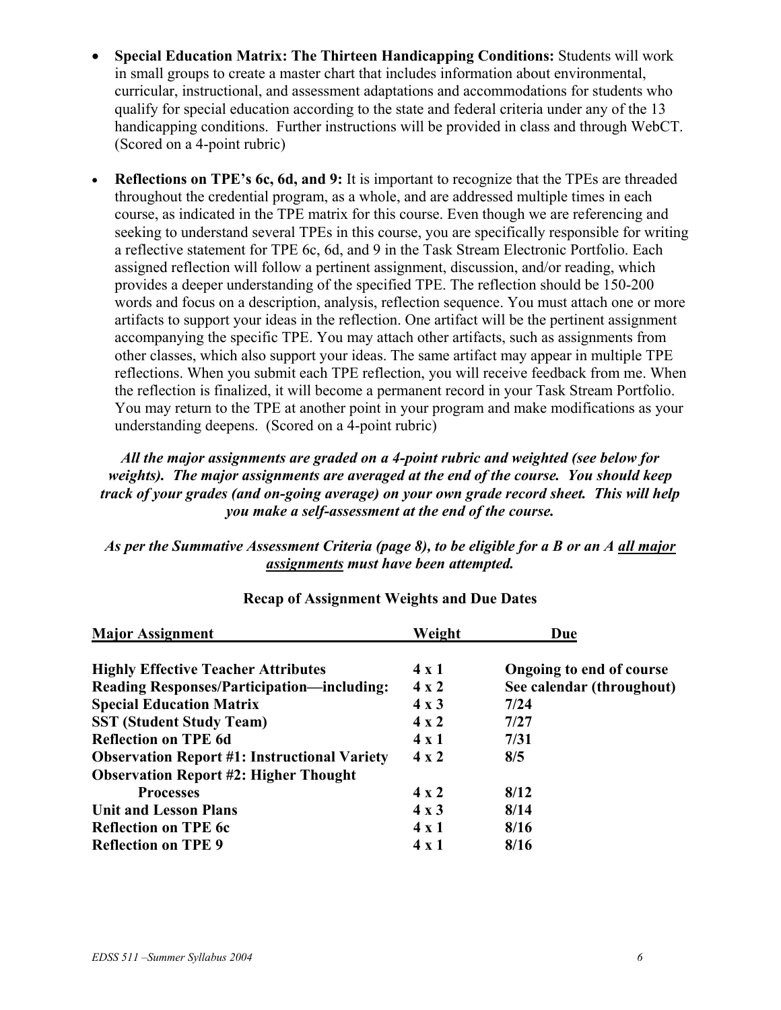- **Special Education Matrix: The Thirteen Handicapping Conditions:** Students will work in small groups to create a master chart that includes information about environmental, curricular, instructional, and assessment adaptations and accommodations for students who qualify for special education according to the state and federal criteria under any of the 13 handicapping conditions. Further instructions will be provided in class and through WebCT. (Scored on a 4-point rubric)
- **Reflections on TPE's 6c, 6d, and 9:** It is important to recognize that the TPEs are threaded throughout the credential program, as a whole, and are addressed multiple times in each course, as indicated in the TPE matrix for this course. Even though we are referencing and seeking to understand several TPEs in this course, you are specifically responsible for writing a reflective statement for TPE 6c, 6d, and 9 in the Task Stream Electronic Portfolio. Each assigned reflection will follow a pertinent assignment, discussion, and/or reading, which provides a deeper understanding of the specified TPE. The reflection should be 150-200 words and focus on a description, analysis, reflection sequence. You must attach one or more artifacts to support your ideas in the reflection. One artifact will be the pertinent assignment accompanying the specific TPE. You may attach other artifacts, such as assignments from other classes, which also support your ideas. The same artifact may appear in multiple TPE reflections. When you submit each TPE reflection, you will receive feedback from me. When the reflection is finalized, it will become a permanent record in your Task Stream Portfolio. You may return to the TPE at another point in your program and make modifications as your understanding deepens. (Scored on a 4-point rubric)

# *All the major assignments are graded on a 4-point rubric and weighted (see below for weights). The major assignments are averaged at the end of the course. You should keep track of your grades (and on-going average) on your own grade record sheet. This will help you make a self-assessment at the end of the course.*

# *As per the Summative Assessment Criteria (page 8), to be eligible for a B or an A all major assignments must have been attempted.*

| <b>Major Assignment</b>                             | Weight       | Due                       |
|-----------------------------------------------------|--------------|---------------------------|
| <b>Highly Effective Teacher Attributes</b>          | $4 \times 1$ | Ongoing to end of course  |
| <b>Reading Responses/Participation—including:</b>   | $4 \times 2$ | See calendar (throughout) |
| <b>Special Education Matrix</b>                     | $4 \times 3$ | 7/24                      |
| <b>SST (Student Study Team)</b>                     | $4 \times 2$ | 7/27                      |
| <b>Reflection on TPE 6d</b>                         | $4 \times 1$ | 7/31                      |
| <b>Observation Report #1: Instructional Variety</b> | $4 \times 2$ | 8/5                       |
| <b>Observation Report #2: Higher Thought</b>        |              |                           |
| <b>Processes</b>                                    | $4 \times 2$ | 8/12                      |
| <b>Unit and Lesson Plans</b>                        | $4 \times 3$ | 8/14                      |
| <b>Reflection on TPE 6c</b>                         | $4 \times 1$ | 8/16                      |
| <b>Reflection on TPE 9</b>                          | 4 x 1        | 8/16                      |

# **Recap of Assignment Weights and Due Dates**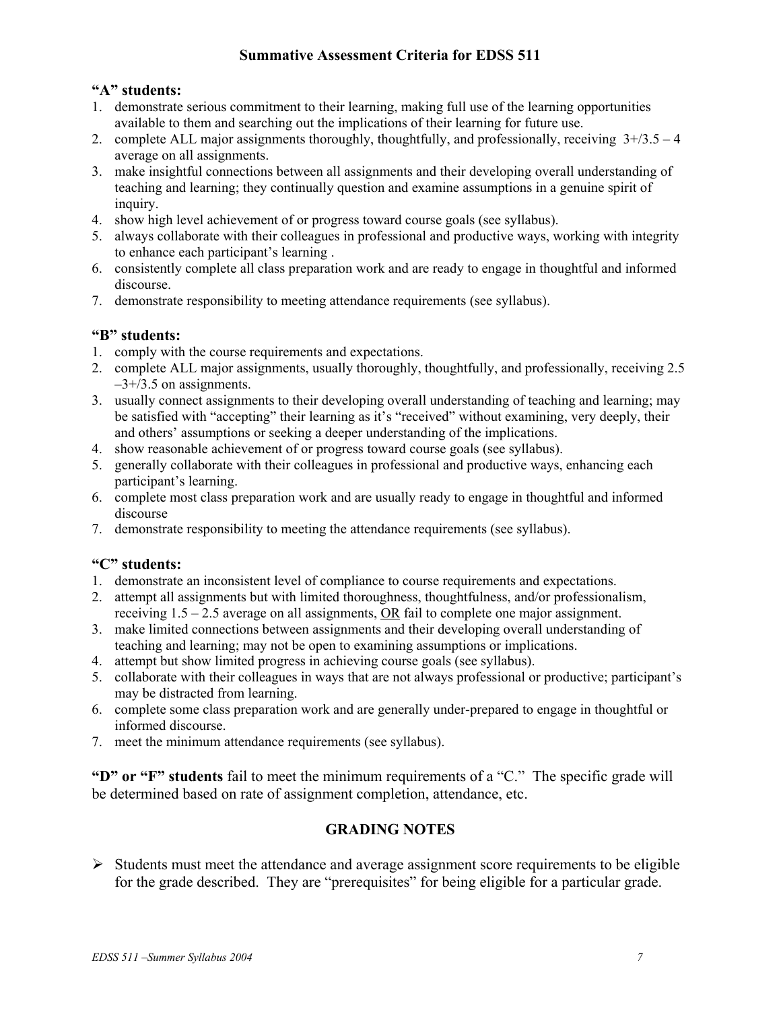# **Summative Assessment Criteria for EDSS 511**

## **"A" students:**

- 1. demonstrate serious commitment to their learning, making full use of the learning opportunities available to them and searching out the implications of their learning for future use.
- 2. complete ALL major assignments thoroughly, thoughtfully, and professionally, receiving  $3+/3.5-4$ average on all assignments.
- 3. make insightful connections between all assignments and their developing overall understanding of teaching and learning; they continually question and examine assumptions in a genuine spirit of inquiry.
- 4. show high level achievement of or progress toward course goals (see syllabus).
- 5. always collaborate with their colleagues in professional and productive ways, working with integrity to enhance each participant's learning .
- 6. consistently complete all class preparation work and are ready to engage in thoughtful and informed discourse.
- 7. demonstrate responsibility to meeting attendance requirements (see syllabus).

# **"B" students:**

- 1. comply with the course requirements and expectations.
- 2. complete ALL major assignments, usually thoroughly, thoughtfully, and professionally, receiving 2.5  $-3+/3.5$  on assignments.
- 3. usually connect assignments to their developing overall understanding of teaching and learning; may be satisfied with "accepting" their learning as it's "received" without examining, very deeply, their and others' assumptions or seeking a deeper understanding of the implications.
- 4. show reasonable achievement of or progress toward course goals (see syllabus).
- 5. generally collaborate with their colleagues in professional and productive ways, enhancing each participant's learning.
- 6. complete most class preparation work and are usually ready to engage in thoughtful and informed discourse
- 7. demonstrate responsibility to meeting the attendance requirements (see syllabus).

## **"C" students:**

- 1. demonstrate an inconsistent level of compliance to course requirements and expectations.
- 2. attempt all assignments but with limited thoroughness, thoughtfulness, and/or professionalism, receiving 1.5 – 2.5 average on all assignments, OR fail to complete one major assignment.
- 3. make limited connections between assignments and their developing overall understanding of teaching and learning; may not be open to examining assumptions or implications.
- 4. attempt but show limited progress in achieving course goals (see syllabus).
- 5. collaborate with their colleagues in ways that are not always professional or productive; participant's may be distracted from learning.
- 6. complete some class preparation work and are generally under-prepared to engage in thoughtful or informed discourse.
- 7. meet the minimum attendance requirements (see syllabus).

**"D" or "F" students** fail to meet the minimum requirements of a "C." The specific grade will be determined based on rate of assignment completion, attendance, etc.

# **GRADING NOTES**

 $\triangleright$  Students must meet the attendance and average assignment score requirements to be eligible for the grade described. They are "prerequisites" for being eligible for a particular grade.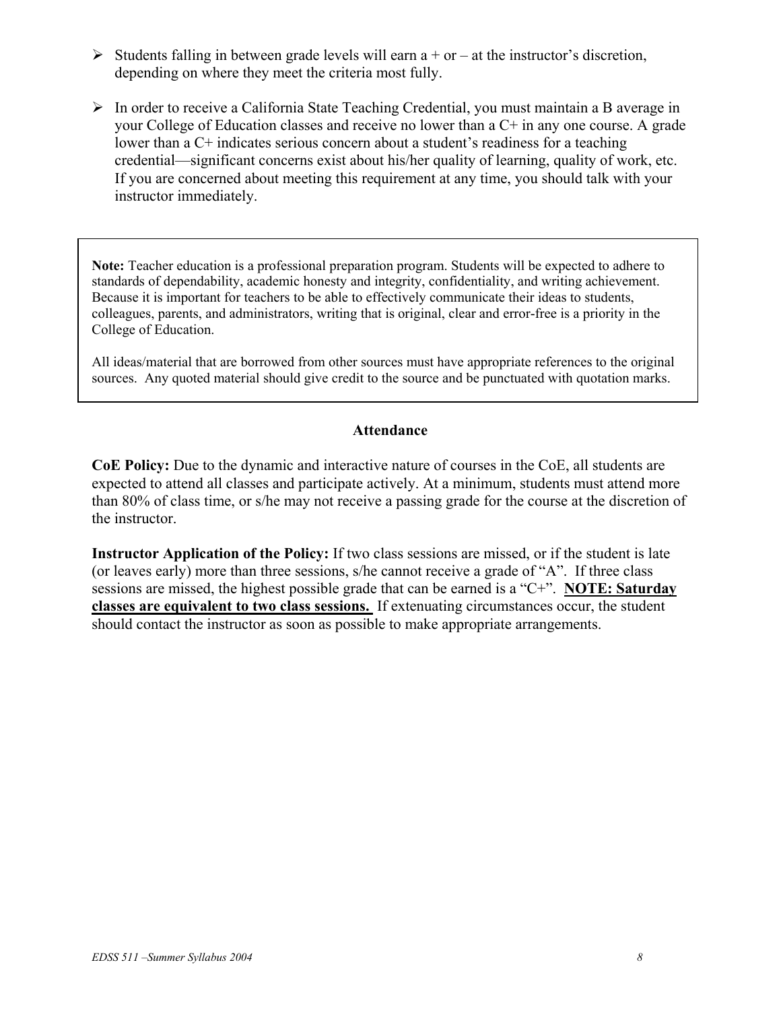- $\triangleright$  Students falling in between grade levels will earn a + or at the instructor's discretion, depending on where they meet the criteria most fully.
- $\triangleright$  In order to receive a California State Teaching Credential, you must maintain a B average in your College of Education classes and receive no lower than a C+ in any one course. A grade lower than a C+ indicates serious concern about a student's readiness for a teaching credential—significant concerns exist about his/her quality of learning, quality of work, etc. If you are concerned about meeting this requirement at any time, you should talk with your instructor immediately.

**Note:** Teacher education is a professional preparation program. Students will be expected to adhere to standards of dependability, academic honesty and integrity, confidentiality, and writing achievement. Because it is important for teachers to be able to effectively communicate their ideas to students, colleagues, parents, and administrators, writing that is original, clear and error-free is a priority in the College of Education.

All ideas/material that are borrowed from other sources must have appropriate references to the original sources. Any quoted material should give credit to the source and be punctuated with quotation marks.

## **Attendance**

**CoE Policy:** Due to the dynamic and interactive nature of courses in the CoE, all students are expected to attend all classes and participate actively. At a minimum, students must attend more than 80% of class time, or s/he may not receive a passing grade for the course at the discretion of the instructor.

**Instructor Application of the Policy:** If two class sessions are missed, or if the student is late (or leaves early) more than three sessions, s/he cannot receive a grade of "A". If three class sessions are missed, the highest possible grade that can be earned is a "C+". **NOTE: Saturday classes are equivalent to two class sessions.** If extenuating circumstances occur, the student should contact the instructor as soon as possible to make appropriate arrangements.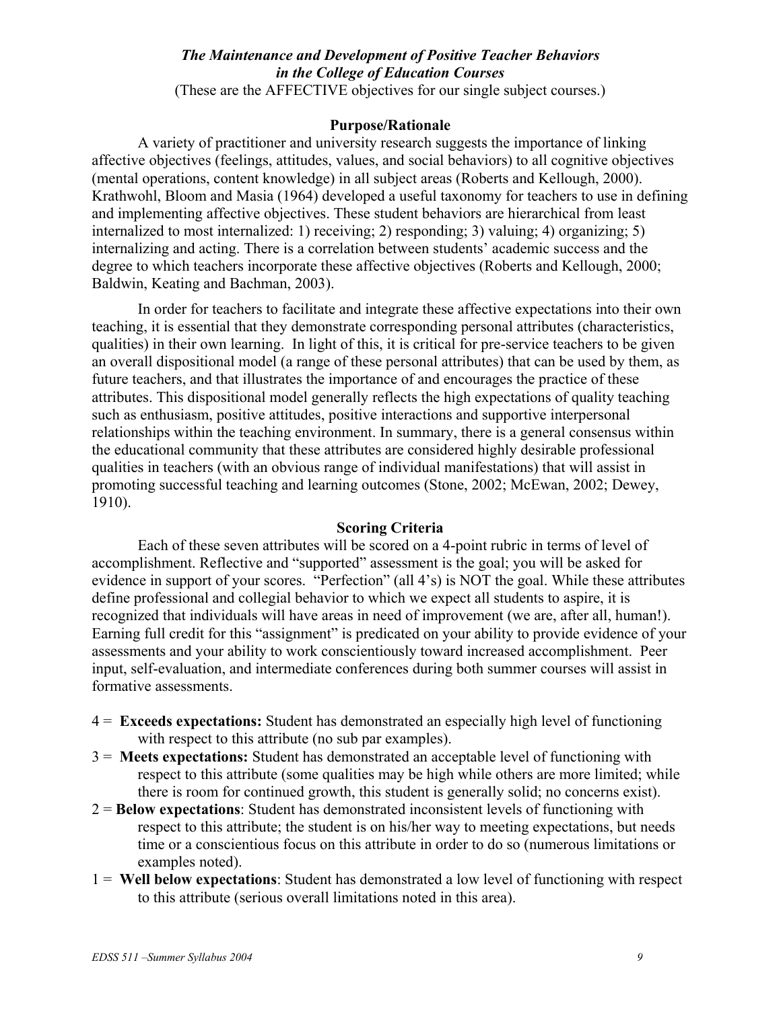# *The Maintenance and Development of Positive Teacher Behaviors in the College of Education Courses*

(These are the AFFECTIVE objectives for our single subject courses.)

#### **Purpose/Rationale**

A variety of practitioner and university research suggests the importance of linking affective objectives (feelings, attitudes, values, and social behaviors) to all cognitive objectives (mental operations, content knowledge) in all subject areas (Roberts and Kellough, 2000). Krathwohl, Bloom and Masia (1964) developed a useful taxonomy for teachers to use in defining and implementing affective objectives. These student behaviors are hierarchical from least internalized to most internalized: 1) receiving; 2) responding; 3) valuing; 4) organizing; 5) internalizing and acting. There is a correlation between students' academic success and the degree to which teachers incorporate these affective objectives (Roberts and Kellough, 2000; Baldwin, Keating and Bachman, 2003).

In order for teachers to facilitate and integrate these affective expectations into their own teaching, it is essential that they demonstrate corresponding personal attributes (characteristics, qualities) in their own learning. In light of this, it is critical for pre-service teachers to be given an overall dispositional model (a range of these personal attributes) that can be used by them, as future teachers, and that illustrates the importance of and encourages the practice of these attributes. This dispositional model generally reflects the high expectations of quality teaching such as enthusiasm, positive attitudes, positive interactions and supportive interpersonal relationships within the teaching environment. In summary, there is a general consensus within the educational community that these attributes are considered highly desirable professional qualities in teachers (with an obvious range of individual manifestations) that will assist in promoting successful teaching and learning outcomes (Stone, 2002; McEwan, 2002; Dewey, 1910).

#### **Scoring Criteria**

Each of these seven attributes will be scored on a 4-point rubric in terms of level of accomplishment. Reflective and "supported" assessment is the goal; you will be asked for evidence in support of your scores. "Perfection" (all 4's) is NOT the goal. While these attributes define professional and collegial behavior to which we expect all students to aspire, it is recognized that individuals will have areas in need of improvement (we are, after all, human!). Earning full credit for this "assignment" is predicated on your ability to provide evidence of your assessments and your ability to work conscientiously toward increased accomplishment. Peer input, self-evaluation, and intermediate conferences during both summer courses will assist in formative assessments.

- 4 = **Exceeds expectations:** Student has demonstrated an especially high level of functioning with respect to this attribute (no sub par examples).
- 3 = **Meets expectations:** Student has demonstrated an acceptable level of functioning with respect to this attribute (some qualities may be high while others are more limited; while there is room for continued growth, this student is generally solid; no concerns exist).
- 2 = **Below expectations**: Student has demonstrated inconsistent levels of functioning with respect to this attribute; the student is on his/her way to meeting expectations, but needs time or a conscientious focus on this attribute in order to do so (numerous limitations or examples noted).
- 1 = **Well below expectations**: Student has demonstrated a low level of functioning with respect to this attribute (serious overall limitations noted in this area).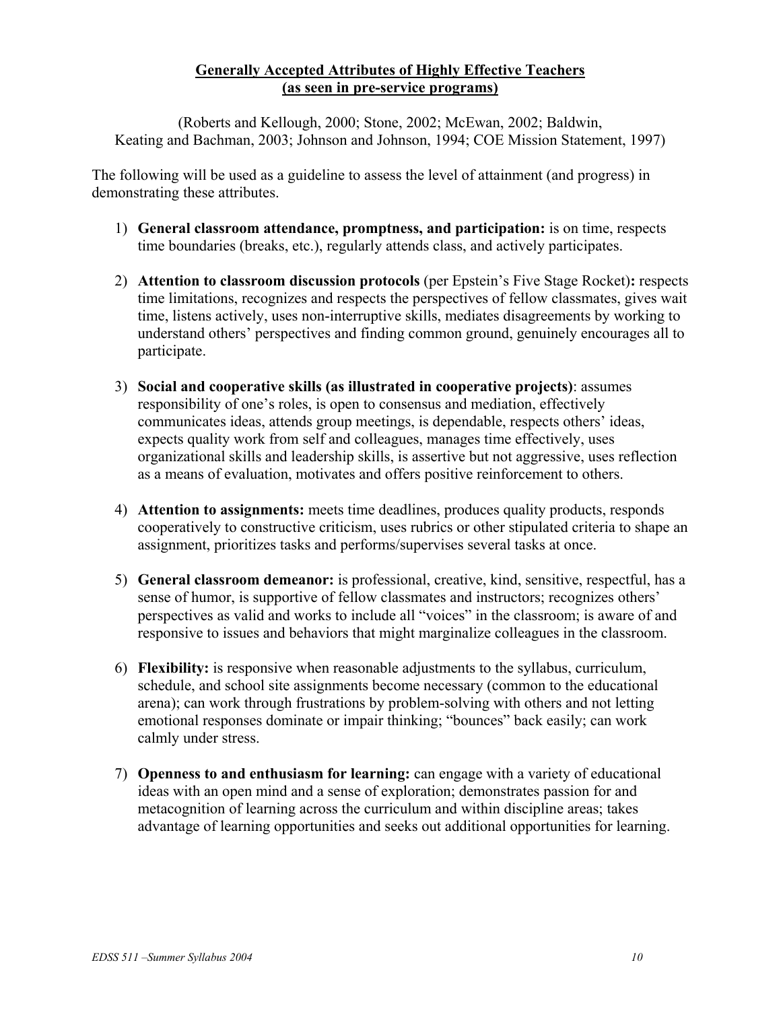# **Generally Accepted Attributes of Highly Effective Teachers (as seen in pre-service programs)**

(Roberts and Kellough, 2000; Stone, 2002; McEwan, 2002; Baldwin, Keating and Bachman, 2003; Johnson and Johnson, 1994; COE Mission Statement, 1997)

The following will be used as a guideline to assess the level of attainment (and progress) in demonstrating these attributes.

- 1) **General classroom attendance, promptness, and participation:** is on time, respects time boundaries (breaks, etc.), regularly attends class, and actively participates.
- 2) **Attention to classroom discussion protocols** (per Epstein's Five Stage Rocket)**:** respects time limitations, recognizes and respects the perspectives of fellow classmates, gives wait time, listens actively, uses non-interruptive skills, mediates disagreements by working to understand others' perspectives and finding common ground, genuinely encourages all to participate.
- 3) **Social and cooperative skills (as illustrated in cooperative projects)**: assumes responsibility of one's roles, is open to consensus and mediation, effectively communicates ideas, attends group meetings, is dependable, respects others' ideas, expects quality work from self and colleagues, manages time effectively, uses organizational skills and leadership skills, is assertive but not aggressive, uses reflection as a means of evaluation, motivates and offers positive reinforcement to others.
- 4) **Attention to assignments:** meets time deadlines, produces quality products, responds cooperatively to constructive criticism, uses rubrics or other stipulated criteria to shape an assignment, prioritizes tasks and performs/supervises several tasks at once.
- 5) **General classroom demeanor:** is professional, creative, kind, sensitive, respectful, has a sense of humor, is supportive of fellow classmates and instructors; recognizes others' perspectives as valid and works to include all "voices" in the classroom; is aware of and responsive to issues and behaviors that might marginalize colleagues in the classroom.
- 6) **Flexibility:** is responsive when reasonable adjustments to the syllabus, curriculum, schedule, and school site assignments become necessary (common to the educational arena); can work through frustrations by problem-solving with others and not letting emotional responses dominate or impair thinking; "bounces" back easily; can work calmly under stress.
- 7) **Openness to and enthusiasm for learning:** can engage with a variety of educational ideas with an open mind and a sense of exploration; demonstrates passion for and metacognition of learning across the curriculum and within discipline areas; takes advantage of learning opportunities and seeks out additional opportunities for learning.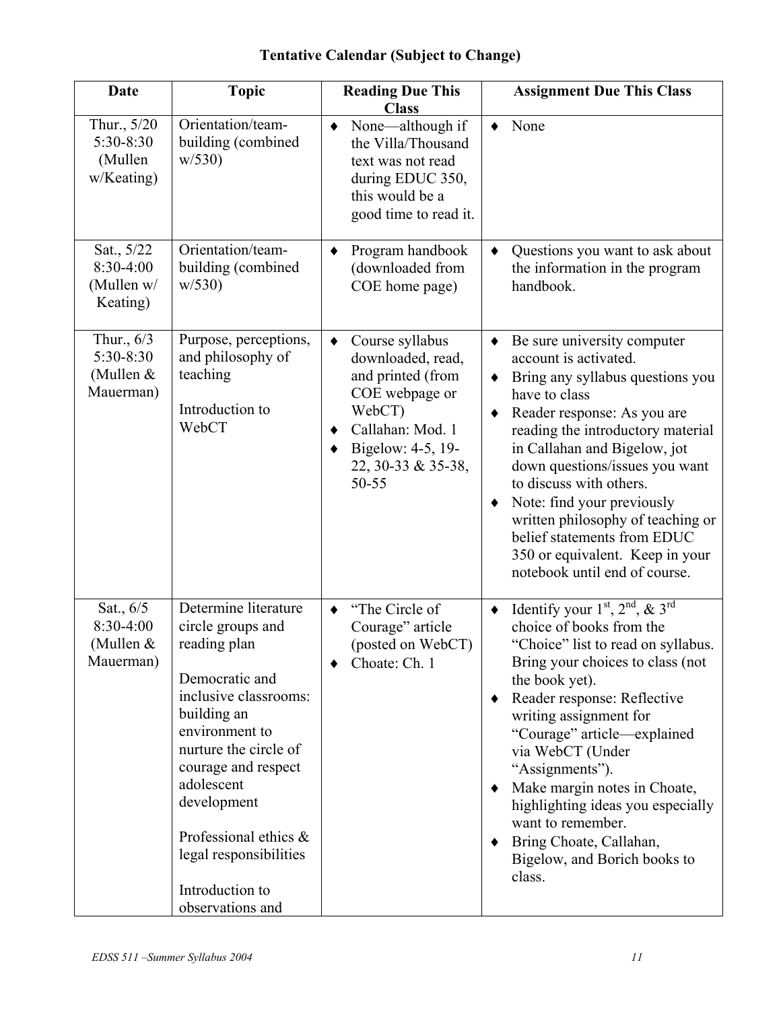| <b>Date</b>                                         | <b>Topic</b>                                                                                                                                                                                                                                                                                                 | <b>Reading Due This</b><br><b>Class</b>                                                                                                                                         | <b>Assignment Due This Class</b>                                                                                                                                                                                                                                                                                                                                                                                                                                                                 |
|-----------------------------------------------------|--------------------------------------------------------------------------------------------------------------------------------------------------------------------------------------------------------------------------------------------------------------------------------------------------------------|---------------------------------------------------------------------------------------------------------------------------------------------------------------------------------|--------------------------------------------------------------------------------------------------------------------------------------------------------------------------------------------------------------------------------------------------------------------------------------------------------------------------------------------------------------------------------------------------------------------------------------------------------------------------------------------------|
| Thur., 5/20<br>5:30-8:30<br>(Mullen<br>w/Keating)   | Orientation/team-<br>building (combined<br>w/530                                                                                                                                                                                                                                                             | None—although if<br>the Villa/Thousand<br>text was not read<br>during EDUC 350,<br>this would be a<br>good time to read it.                                                     | None<br>٠                                                                                                                                                                                                                                                                                                                                                                                                                                                                                        |
| Sat., 5/22<br>8:30-4:00<br>(Mullen w/<br>Keating)   | Orientation/team-<br>building (combined<br>w/530                                                                                                                                                                                                                                                             | Program handbook<br>٠<br>(downloaded from<br>COE home page)                                                                                                                     | Questions you want to ask about<br>$\blacklozenge$<br>the information in the program<br>handbook.                                                                                                                                                                                                                                                                                                                                                                                                |
| Thur., 6/3<br>5:30-8:30<br>(Mullen $&$<br>Mauerman) | Purpose, perceptions,<br>and philosophy of<br>teaching<br>Introduction to<br>WebCT                                                                                                                                                                                                                           | Course syllabus<br>$\bullet$<br>downloaded, read,<br>and printed (from<br>COE webpage or<br>WebCT)<br>Callahan: Mod. 1<br>٠<br>Bigelow: 4-5, 19-<br>22, 30-33 & 35-38,<br>50-55 | Be sure university computer<br>٠<br>account is activated.<br>Bring any syllabus questions you<br>٠<br>have to class<br>Reader response: As you are<br>٠<br>reading the introductory material<br>in Callahan and Bigelow, jot<br>down questions/issues you want<br>to discuss with others.<br>Note: find your previously<br>٠<br>written philosophy of teaching or<br>belief statements from EDUC<br>350 or equivalent. Keep in your<br>notebook until end of course.                             |
| Sat., 6/5<br>8:30-4:00<br>(Mullen &<br>Mauerman)    | Determine literature<br>circle groups and<br>reading plan<br>Democratic and<br>inclusive classrooms:<br>building an<br>environment to<br>nurture the circle of<br>courage and respect<br>adolescent<br>development<br>Professional ethics &<br>legal responsibilities<br>Introduction to<br>observations and | "The Circle of<br>٠<br>Courage" article<br>(posted on WebCT)<br>Choate: Ch. 1                                                                                                   | Identify your $1st$ , $2nd$ , $\&$ $3rd$<br>$\blacklozenge$<br>choice of books from the<br>"Choice" list to read on syllabus.<br>Bring your choices to class (not<br>the book yet).<br>Reader response: Reflective<br>٠<br>writing assignment for<br>"Courage" article—explained<br>via WebCT (Under<br>"Assignments").<br>Make margin notes in Choate,<br>٠<br>highlighting ideas you especially<br>want to remember.<br>Bring Choate, Callahan,<br>٠<br>Bigelow, and Borich books to<br>class. |

# **Tentative Calendar (Subject to Change)**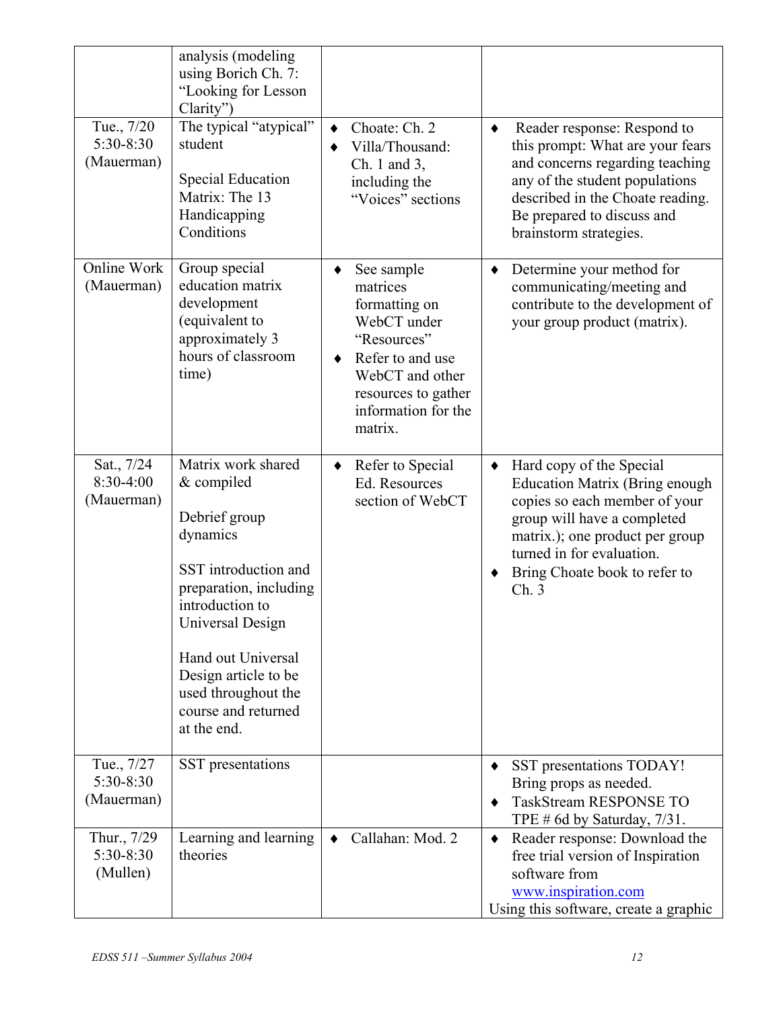| Tue., 7/20<br>$5:30-8:30$<br>(Mauerman) | analysis (modeling<br>using Borich Ch. 7:<br>"Looking for Lesson<br>Clarity'<br>The typical "atypical"<br>student<br><b>Special Education</b><br>Matrix: The 13<br>Handicapping<br>Conditions                                                                     | Choate: Ch. 2<br>٠<br>Villa/Thousand:<br>$Ch. 1$ and 3,<br>including the<br>"Voices" sections                                                                              | Reader response: Respond to<br>٠<br>this prompt: What are your fears<br>and concerns regarding teaching<br>any of the student populations<br>described in the Choate reading.<br>Be prepared to discuss and<br>brainstorm strategies.      |
|-----------------------------------------|-------------------------------------------------------------------------------------------------------------------------------------------------------------------------------------------------------------------------------------------------------------------|----------------------------------------------------------------------------------------------------------------------------------------------------------------------------|--------------------------------------------------------------------------------------------------------------------------------------------------------------------------------------------------------------------------------------------|
| Online Work<br>(Mauerman)               | Group special<br>education matrix<br>development<br>(equivalent to<br>approximately 3<br>hours of classroom<br>time)                                                                                                                                              | See sample<br>matrices<br>formatting on<br>WebCT under<br>"Resources"<br>Refer to and use<br>٠<br>WebCT and other<br>resources to gather<br>information for the<br>matrix. | Determine your method for<br>٠<br>communicating/meeting and<br>contribute to the development of<br>your group product (matrix).                                                                                                            |
| Sat., 7/24<br>$8:30-4:00$<br>(Mauerman) | Matrix work shared<br>& compiled<br>Debrief group<br>dynamics<br>SST introduction and<br>preparation, including<br>introduction to<br>Universal Design<br>Hand out Universal<br>Design article to be<br>used throughout the<br>course and returned<br>at the end. | Refer to Special<br>$\bullet$<br>Ed. Resources<br>section of WebCT                                                                                                         | Hard copy of the Special<br><b>Education Matrix (Bring enough</b><br>copies so each member of your<br>group will have a completed<br>matrix.); one product per group<br>turned in for evaluation.<br>Bring Choate book to refer to<br>Ch.3 |
| Tue., 7/27<br>5:30-8:30<br>(Mauerman)   | SST presentations                                                                                                                                                                                                                                                 |                                                                                                                                                                            | SST presentations TODAY!<br>Bring props as needed.<br><b>TaskStream RESPONSE TO</b><br>TPE # 6d by Saturday, $7/31$ .                                                                                                                      |
| Thur., 7/29<br>5:30-8:30<br>(Mullen)    | Learning and learning<br>theories                                                                                                                                                                                                                                 | Callahan: Mod. 2<br>٠                                                                                                                                                      | Reader response: Download the<br>٠<br>free trial version of Inspiration<br>software from<br>www.inspiration.com<br>Using this software, create a graphic                                                                                   |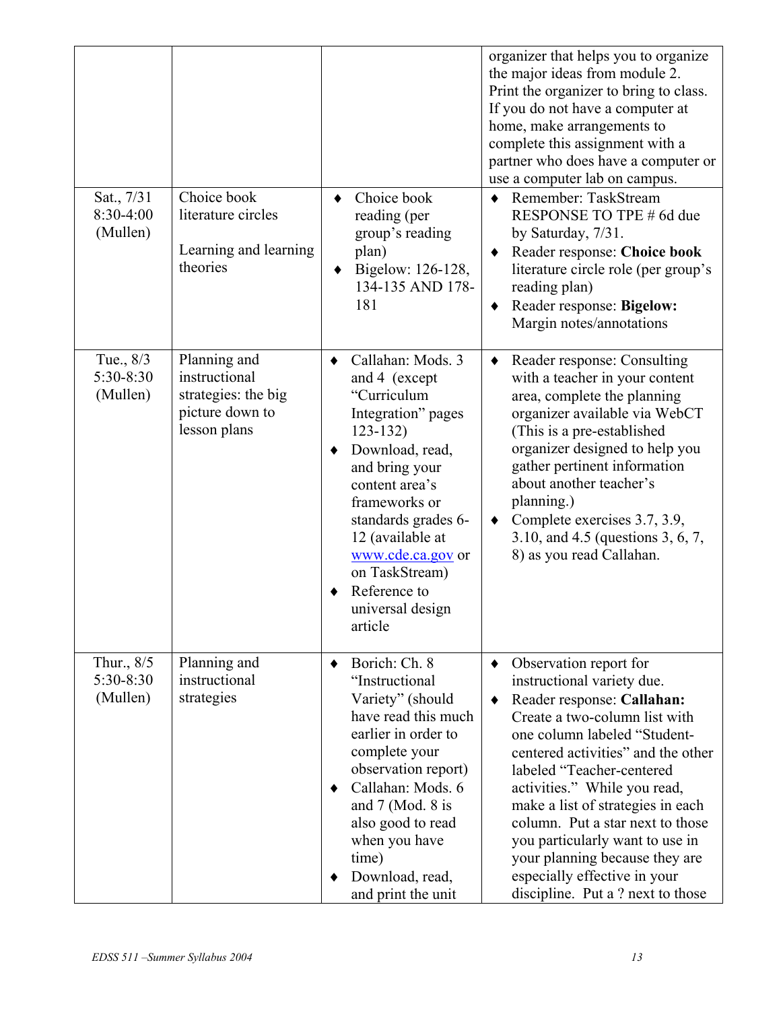| Sat., 7/31<br>8:30-4:00<br>(Mullen) | Choice book<br>literature circles<br>Learning and learning<br>theories                  | Choice book<br>٠<br>reading (per<br>group's reading<br>plan)<br>Bigelow: 126-128,<br>٠<br>134-135 AND 178-<br>181                                                                                                                                                                               | organizer that helps you to organize<br>the major ideas from module 2.<br>Print the organizer to bring to class.<br>If you do not have a computer at<br>home, make arrangements to<br>complete this assignment with a<br>partner who does have a computer or<br>use a computer lab on campus.<br>Remember: TaskStream<br>$\bullet$<br>RESPONSE TO TPE # 6d due<br>by Saturday, 7/31.<br>Reader response: Choice book<br>literature circle role (per group's<br>reading plan)<br>Reader response: Bigelow:<br>$\bullet$<br>Margin notes/annotations |
|-------------------------------------|-----------------------------------------------------------------------------------------|-------------------------------------------------------------------------------------------------------------------------------------------------------------------------------------------------------------------------------------------------------------------------------------------------|----------------------------------------------------------------------------------------------------------------------------------------------------------------------------------------------------------------------------------------------------------------------------------------------------------------------------------------------------------------------------------------------------------------------------------------------------------------------------------------------------------------------------------------------------|
| Tue., 8/3<br>5:30-8:30<br>(Mullen)  | Planning and<br>instructional<br>strategies: the big<br>picture down to<br>lesson plans | Callahan: Mods. 3<br>and 4 (except<br>"Curriculum<br>Integration" pages<br>$123 - 132$<br>Download, read,<br>and bring your<br>content area's<br>frameworks or<br>standards grades 6-<br>12 (available at<br>www.cde.ca.gov or<br>on TaskStream)<br>Reference to<br>universal design<br>article | Reader response: Consulting<br>$\blacklozenge$<br>with a teacher in your content<br>area, complete the planning<br>organizer available via WebCT<br>(This is a pre-established)<br>organizer designed to help you<br>gather pertinent information<br>about another teacher's<br>planning.)<br>Complete exercises 3.7, 3.9,<br>3.10, and 4.5 (questions 3, 6, 7,<br>8) as you read Callahan.                                                                                                                                                        |
| Thur., 8/5<br>5:30-8:30<br>(Mullen) | Planning and<br>instructional<br>strategies                                             | Borich: Ch. 8<br>٠<br>"Instructional<br>Variety" (should<br>have read this much<br>earlier in order to<br>complete your<br>observation report)<br>Callahan: Mods. 6<br>and $7$ (Mod. 8 is<br>also good to read<br>when you have<br>time)<br>Download, read,<br>and print the unit               | Observation report for<br>٠<br>instructional variety due.<br>Reader response: Callahan:<br>$\bullet$<br>Create a two-column list with<br>one column labeled "Student-<br>centered activities" and the other<br>labeled "Teacher-centered<br>activities." While you read,<br>make a list of strategies in each<br>column. Put a star next to those<br>you particularly want to use in<br>your planning because they are<br>especially effective in your<br>discipline. Put a ? next to those                                                        |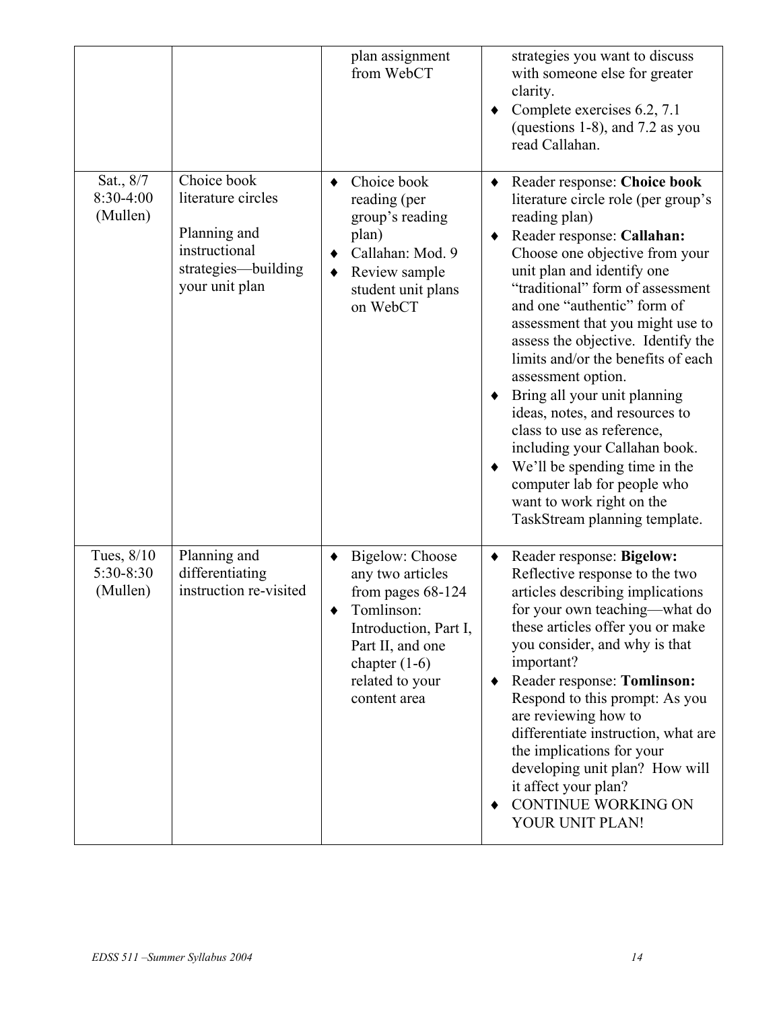|                                     |                                                                                                             | plan assignment<br>from WebCT                                                                                                                                               | strategies you want to discuss<br>with someone else for greater<br>clarity.<br>Complete exercises 6.2, 7.1<br>٠<br>(questions 1-8), and 7.2 as you<br>read Callahan.                                                                                                                                                                                                                                                                                                                                                                                                                                                                                                                    |
|-------------------------------------|-------------------------------------------------------------------------------------------------------------|-----------------------------------------------------------------------------------------------------------------------------------------------------------------------------|-----------------------------------------------------------------------------------------------------------------------------------------------------------------------------------------------------------------------------------------------------------------------------------------------------------------------------------------------------------------------------------------------------------------------------------------------------------------------------------------------------------------------------------------------------------------------------------------------------------------------------------------------------------------------------------------|
| Sat., 8/7<br>8:30-4:00<br>(Mullen)  | Choice book<br>literature circles<br>Planning and<br>instructional<br>strategies-building<br>your unit plan | Choice book<br>reading (per<br>group's reading<br>plan)<br>Callahan: Mod. 9<br>٠<br>Review sample<br>٠<br>student unit plans<br>on WebCT                                    | Reader response: Choice book<br>$\blacklozenge$<br>literature circle role (per group's<br>reading plan)<br>Reader response: Callahan:<br>٠<br>Choose one objective from your<br>unit plan and identify one<br>"traditional" form of assessment<br>and one "authentic" form of<br>assessment that you might use to<br>assess the objective. Identify the<br>limits and/or the benefits of each<br>assessment option.<br>Bring all your unit planning<br>ideas, notes, and resources to<br>class to use as reference,<br>including your Callahan book.<br>We'll be spending time in the<br>٠<br>computer lab for people who<br>want to work right on the<br>TaskStream planning template. |
| Tues, 8/10<br>5:30-8:30<br>(Mullen) | Planning and<br>differentiating<br>instruction re-visited                                                   | Bigelow: Choose<br>any two articles<br>from pages $68-124$<br>Tomlinson:<br>Introduction, Part I,<br>Part II, and one<br>chapter $(1-6)$<br>related to your<br>content area | Reader response: Bigelow:<br>٠<br>Reflective response to the two<br>articles describing implications<br>for your own teaching—what do<br>these articles offer you or make<br>you consider, and why is that<br>important?<br>Reader response: Tomlinson:<br>٠<br>Respond to this prompt: As you<br>are reviewing how to<br>differentiate instruction, what are<br>the implications for your<br>developing unit plan? How will<br>it affect your plan?<br>CONTINUE WORKING ON<br>YOUR UNIT PLAN!                                                                                                                                                                                          |